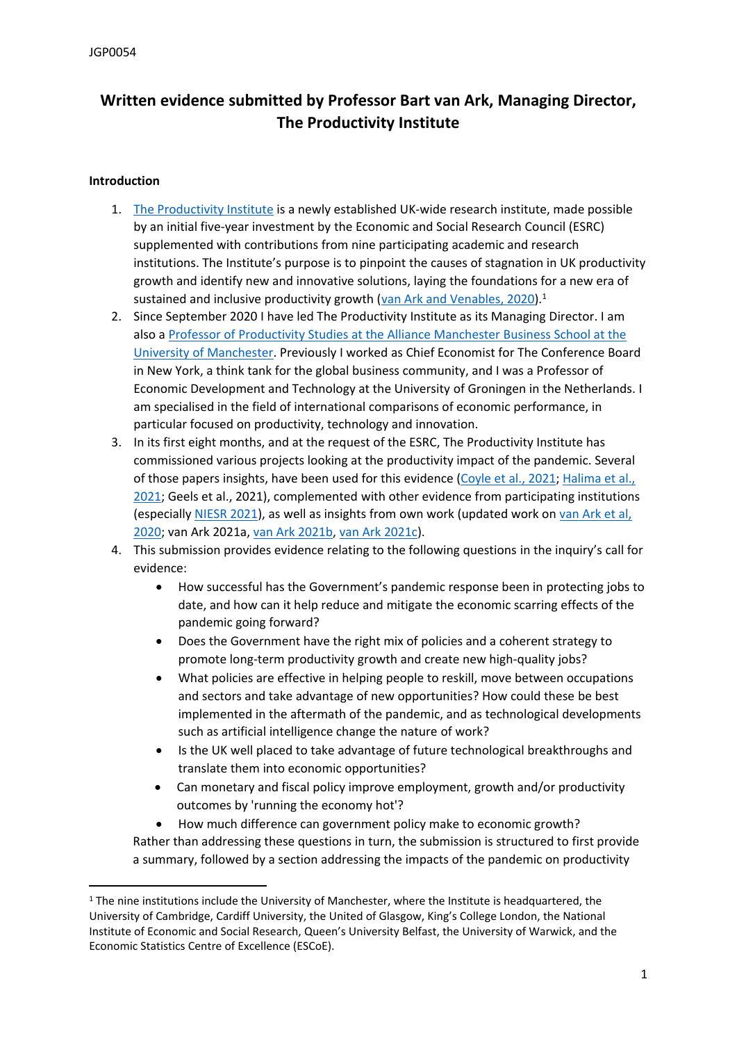# **Written evidence submitted by Professor Bart van Ark, Managing Director, The Productivity Institute**

# **Introduction**

- 1. [The](https://www.productivity.ac.uk/wp-content/uploads/2021/03/tpi-working-paper-2-health-productivity-diane-coyle.pdf) [Productivity](https://www.productivity.ac.uk/wp-content/uploads/2021/03/tpi-working-paper-2-health-productivity-diane-coyle.pdf) [Institute](https://www.productivity.ac.uk/wp-content/uploads/2021/03/tpi-working-paper-2-health-productivity-diane-coyle.pdf) is a newly established UK-wide research institute, made possible by an initial five-year investment by the Economic and Social Research Council (ESRC) supplemented with contributions from nine participating academic and research institutions. The Institute's purpose is to pinpoint the causes of stagnation in UK productivity growth and identify new and innovative solutions, laying the foundations for a new era of sustained and inclusive productivity growth ([van](http://www.csls.ca/ipm/39/van_Ark-Venables.pdf) [Ark](http://www.csls.ca/ipm/39/van_Ark-Venables.pdf) [and](http://www.csls.ca/ipm/39/van_Ark-Venables.pdf) [Venables,](http://www.csls.ca/ipm/39/van_Ark-Venables.pdf) [2020\)](http://www.csls.ca/ipm/39/van_Ark-Venables.pdf).<sup>1</sup>
- 2. Since September 2020 I have led The Productivity Institute as its Managing Director. I am also a [Professor](https://www.research.manchester.ac.uk/portal/en/researchers/bart-van-ark(168df210-a295-4bfb-af95-de705c47e8e9).html) [of](https://www.research.manchester.ac.uk/portal/en/researchers/bart-van-ark(168df210-a295-4bfb-af95-de705c47e8e9).html) [Productivity](https://www.research.manchester.ac.uk/portal/en/researchers/bart-van-ark(168df210-a295-4bfb-af95-de705c47e8e9).html) [Studies](https://www.research.manchester.ac.uk/portal/en/researchers/bart-van-ark(168df210-a295-4bfb-af95-de705c47e8e9).html) [at](https://www.research.manchester.ac.uk/portal/en/researchers/bart-van-ark(168df210-a295-4bfb-af95-de705c47e8e9).html) [the](https://www.research.manchester.ac.uk/portal/en/researchers/bart-van-ark(168df210-a295-4bfb-af95-de705c47e8e9).html) [Alliance](https://www.research.manchester.ac.uk/portal/en/researchers/bart-van-ark(168df210-a295-4bfb-af95-de705c47e8e9).html) [Manchester](https://www.research.manchester.ac.uk/portal/en/researchers/bart-van-ark(168df210-a295-4bfb-af95-de705c47e8e9).html) [Business](https://www.research.manchester.ac.uk/portal/en/researchers/bart-van-ark(168df210-a295-4bfb-af95-de705c47e8e9).html) [School](https://www.research.manchester.ac.uk/portal/en/researchers/bart-van-ark(168df210-a295-4bfb-af95-de705c47e8e9).html) [at](https://www.research.manchester.ac.uk/portal/en/researchers/bart-van-ark(168df210-a295-4bfb-af95-de705c47e8e9).html) [the](https://www.research.manchester.ac.uk/portal/en/researchers/bart-van-ark(168df210-a295-4bfb-af95-de705c47e8e9).html) [University](https://www.research.manchester.ac.uk/portal/en/researchers/bart-van-ark(168df210-a295-4bfb-af95-de705c47e8e9).html) [of](https://www.research.manchester.ac.uk/portal/en/researchers/bart-van-ark(168df210-a295-4bfb-af95-de705c47e8e9).html) [Manchester.](https://www.research.manchester.ac.uk/portal/en/researchers/bart-van-ark(168df210-a295-4bfb-af95-de705c47e8e9).html) Previously I worked as Chief Economist for The Conference Board in New York, a think tank for the global business community, and I was a Professor of Economic Development and Technology at the University of Groningen in the Netherlands. I am specialised in the field of international comparisons of economic performance, in particular focused on productivity, technology and innovation.
- 3. In its first eight months, and at the request of the ESRC, The Productivity Institute has commissioned various projects looking at the productivity impact of the pandemic. Several of those papers insights, have been used for this evidence [\(Coyle](http://productivity.productivedigital.com/wp-content/uploads/2021/04/Health-Productivity-Diane-Coyle-FINAL.pdf) [et](https://www.comp-net.org/fileadmin/_compnet/user_upload/Presentation_Steve.pdf) [al.,](https://www.comp-net.org/fileadmin/_compnet/user_upload/Presentation_Steve.pdf) [2021](http://productivity.productivedigital.com/wp-content/uploads/2021/04/Health-Productivity-Diane-Coyle-FINAL.pdf); [Halima](https://www.comp-net.org/fileadmin/_compnet/user_upload/Presentation_Steve.pdf) et al., [2021](https://www.comp-net.org/fileadmin/_compnet/user_upload/Presentation_Steve.pdf); Geels et al., 2021), complemented with other evidence from participating institutions (especially [NIESR](https://www.niesr.ac.uk/publications/uk-economic-outlook-spring-2021-brisk-not-better-growth) [2021](https://www.niesr.ac.uk/publications/uk-economic-outlook-spring-2021-brisk-not-better-growth)), as well as insights from own work (updated work on [van](https://www.niesr.ac.uk/publications/how-not-miss-productivity-revival-again) [Ark](https://www.niesr.ac.uk/publications/how-not-miss-productivity-revival-again) [et](https://www.niesr.ac.uk/publications/how-not-miss-productivity-revival-again) [al,](https://www.niesr.ac.uk/publications/how-not-miss-productivity-revival-again) [2020](https://www.niesr.ac.uk/publications/how-not-miss-productivity-revival-again); van Ark 2021a, [van](https://policyatmanchester.shorthandstories.com/on-digital-inequalities/) [Ark](https://policyatmanchester.shorthandstories.com/on-digital-inequalities/) [2021b,](https://policyatmanchester.shorthandstories.com/on-digital-inequalities/) [van](https://www.niesr.ac.uk/blog/productivity-and-new-fiscal-framework-uk) [Ark](https://www.niesr.ac.uk/blog/productivity-and-new-fiscal-framework-uk) [2021c](https://www.niesr.ac.uk/blog/productivity-and-new-fiscal-framework-uk)).
- 4. This submission provides evidence relating to the following questions in the inquiry's call for evidence:
	- How successful has the Government's pandemic response been in protecting jobs to date, and how can it help reduce and mitigate the economic scarring effects of the pandemic going forward?
	- Does the Government have the right mix of policies and a coherent strategy to promote long-term productivity growth and create new high-quality jobs?
	- What policies are effective in helping people to reskill, move between occupations and sectors and take advantage of new opportunities? How could these be best implemented in the aftermath of the pandemic, and as technological developments such as artificial intelligence change the nature of work?
	- Is the UK well placed to take advantage of future technological breakthroughs and translate them into economic opportunities?
	- Can monetary and fiscal policy improve employment, growth and/or productivity outcomes by 'running the economy hot'?

 How much difference can government policy make to economic growth? Rather than addressing these questions in turn, the submission is structured to first provide a summary, followed by a section addressing the impacts of the pandemic on productivity

<sup>&</sup>lt;sup>1</sup> The nine institutions include the University of Manchester, where the Institute is headquartered, the University of Cambridge, Cardiff University, the United of Glasgow, King's College London, the National Institute of Economic and Social Research, Queen's University Belfast, the University of Warwick, and the Economic Statistics Centre of Excellence (ESCoE).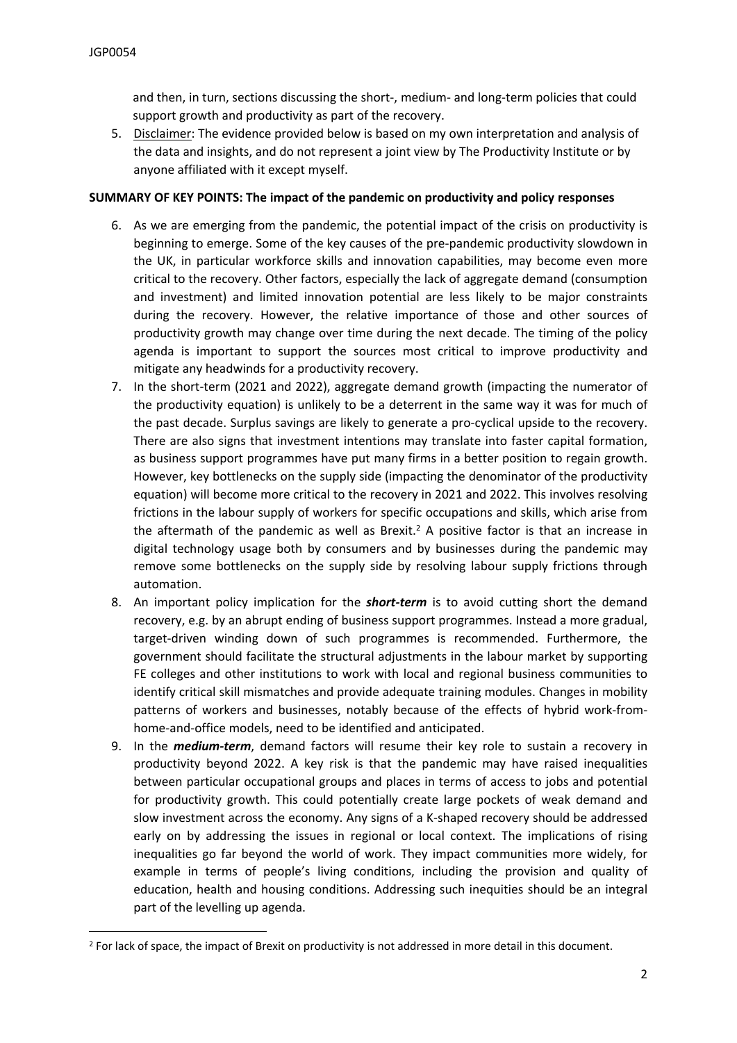and then, in turn, sections discussing the short-, medium- and long-term policies that could support growth and productivity as part of the recovery.

5. Disclaimer: The evidence provided below is based on my own interpretation and analysis of the data and insights, and do not represent a joint view by The Productivity Institute or by anyone affiliated with it except myself.

## **SUMMARY OF KEY POINTS: The impact of the pandemic on productivity and policy responses**

- 6. As we are emerging from the pandemic, the potential impact of the crisis on productivity is beginning to emerge. Some of the key causes of the pre-pandemic productivity slowdown in the UK, in particular workforce skills and innovation capabilities, may become even more critical to the recovery. Other factors, especially the lack of aggregate demand (consumption and investment) and limited innovation potential are less likely to be major constraints during the recovery. However, the relative importance of those and other sources of productivity growth may change over time during the next decade. The timing of the policy agenda is important to support the sources most critical to improve productivity and mitigate any headwinds for a productivity recovery.
- 7. In the short-term (2021 and 2022), aggregate demand growth (impacting the numerator of the productivity equation) is unlikely to be a deterrent in the same way it was for much of the past decade. Surplus savings are likely to generate a pro-cyclical upside to the recovery. There are also signs that investment intentions may translate into faster capital formation, as business support programmes have put many firms in a better position to regain growth. However, key bottlenecks on the supply side (impacting the denominator of the productivity equation) will become more critical to the recovery in 2021 and 2022. This involves resolving frictions in the labour supply of workers for specific occupations and skills, which arise from the aftermath of the pandemic as well as Brexit.<sup>2</sup> A positive factor is that an increase in digital technology usage both by consumers and by businesses during the pandemic may remove some bottlenecks on the supply side by resolving labour supply frictions through automation.
- 8. An important policy implication for the *short-term* is to avoid cutting short the demand recovery, e.g. by an abrupt ending of business support programmes. Instead a more gradual, target-driven winding down of such programmes is recommended. Furthermore, the government should facilitate the structural adjustments in the labour market by supporting FE colleges and other institutions to work with local and regional business communities to identify critical skill mismatches and provide adequate training modules. Changes in mobility patterns of workers and businesses, notably because of the effects of hybrid work-fromhome-and-office models, need to be identified and anticipated.
- 9. In the *medium-term*, demand factors will resume their key role to sustain a recovery in productivity beyond 2022. A key risk is that the pandemic may have raised inequalities between particular occupational groups and places in terms of access to jobs and potential for productivity growth. This could potentially create large pockets of weak demand and slow investment across the economy. Any signs of a K-shaped recovery should be addressed early on by addressing the issues in regional or local context. The implications of rising inequalities go far beyond the world of work. They impact communities more widely, for example in terms of people's living conditions, including the provision and quality of education, health and housing conditions. Addressing such inequities should be an integral part of the levelling up agenda.

<sup>&</sup>lt;sup>2</sup> For lack of space, the impact of Brexit on productivity is not addressed in more detail in this document.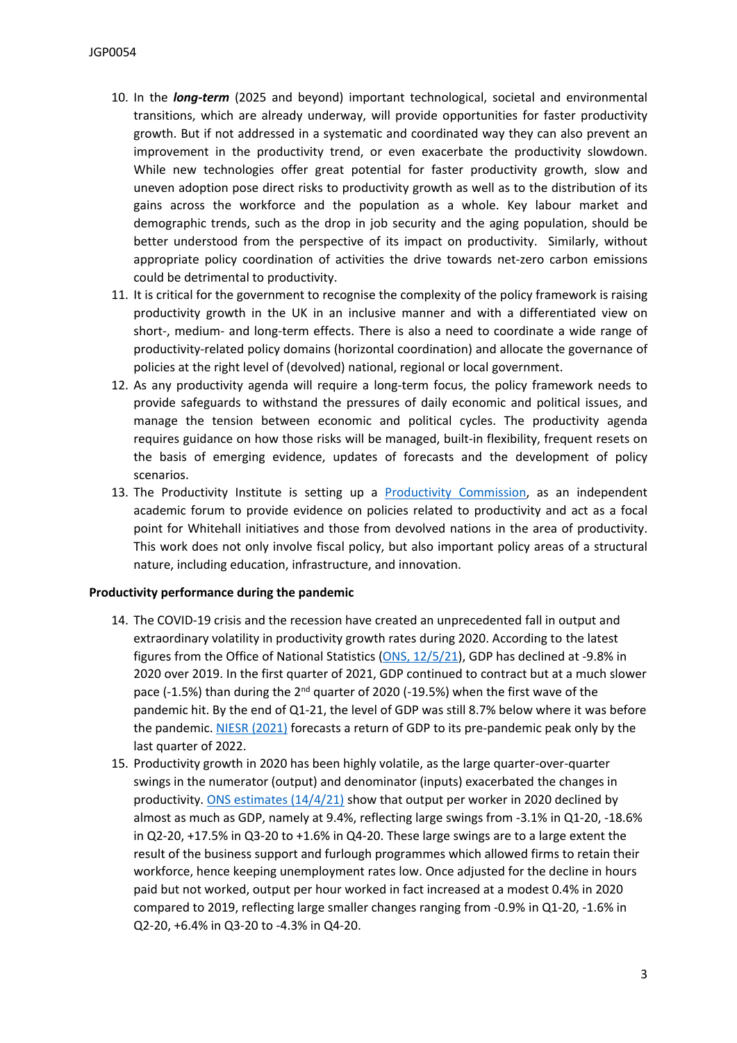- 10. In the *long-term* (2025 and beyond) important technological, societal and environmental transitions, which are already underway, will provide opportunities for faster productivity growth. But if not addressed in a systematic and coordinated way they can also prevent an improvement in the productivity trend, or even exacerbate the productivity slowdown. While new technologies offer great potential for faster productivity growth, slow and uneven adoption pose direct risks to productivity growth as well as to the distribution of its gains across the workforce and the population as a whole. Key labour market and demographic trends, such as the drop in job security and the aging population, should be better understood from the perspective of its impact on productivity. Similarly, without appropriate policy coordination of activities the drive towards net-zero carbon emissions could be detrimental to productivity.
- 11. It is critical for the government to recognise the complexity of the policy framework is raising productivity growth in the UK in an inclusive manner and with a differentiated view on short-, medium- and long-term effects. There is also a need to coordinate a wide range of productivity-related policy domains (horizontal coordination) and allocate the governance of policies at the right level of (devolved) national, regional or local government.
- 12. As any productivity agenda will require a long-term focus, the policy framework needs to provide safeguards to withstand the pressures of daily economic and political issues, and manage the tension between economic and political cycles. The productivity agenda requires guidance on how those risks will be managed, built-in flexibility, frequent resets on the basis of emerging evidence, updates of forecasts and the development of policy scenarios.
- 13. The Productivity Institute is setting up a [Productivity](https://www.productivity.ac.uk/policy/) [Commission](https://www.productivity.ac.uk/policy/), as an independent academic forum to provide evidence on policies related to productivity and act as a focal point for Whitehall initiatives and those from devolved nations in the area of productivity. This work does not only involve fiscal policy, but also important policy areas of a structural nature, including education, infrastructure, and innovation.

### **Productivity performance during the pandemic**

- 14. The COVID-19 crisis and the recession have created an unprecedented fall in output and extraordinary volatility in productivity growth rates during 2020. According to the latest figures from the Office of National Statistics [\(ONS,](https://www.ons.gov.uk/economy/grossdomesticproductgdp/datasets/grossfixedcapitalformationbysectorandasset) [12/5/21](https://www.ons.gov.uk/economy/grossdomesticproductgdp/datasets/grossfixedcapitalformationbysectorandasset)), GDP has declined at -9.8% in 2020 over 2019. In the first quarter of 2021, GDP continued to contract but at a much slower pace (-1.5%) than during the 2<sup>nd</sup> quarter of 2020 (-19.5%) when the first wave of the pandemic hit. By the end of Q1-21, the level of GDP was still 8.7% below where it was before the pandemic. [NIESR](https://www.niesr.ac.uk/publications/uk-economic-outlook-spring-2021-brisk-not-better-growth) [\(2021\)](https://www.niesr.ac.uk/publications/uk-economic-outlook-spring-2021-brisk-not-better-growth) forecasts a return of GDP to its pre-pandemic peak only by the last quarter of 2022.
- 15. Productivity growth in 2020 has been highly volatile, as the large quarter-over-quarter swings in the numerator (output) and denominator (inputs) exacerbated the changes in productivity. [ONS](https://www.ons.gov.uk/employmentandlabourmarket/peopleinwork/labourproductivity/articles/ukproductivityintroduction/octobertodecember2020) [estimates](https://www.ons.gov.uk/employmentandlabourmarket/peopleinwork/labourproductivity/articles/ukproductivityintroduction/octobertodecember2020)  $(14/4/21)$  show that output per worker in 2020 declined by almost as much as GDP, namely at 9.4%, reflecting large swings from -3.1% in Q1-20, -18.6% in Q2-20, +17.5% in Q3-20 to +1.6% in Q4-20. These large swings are to a large extent the result of the business support and furlough programmes which allowed firms to retain their workforce, hence keeping unemployment rates low. Once adjusted for the decline in hours paid but not worked, output per hour worked in fact increased at a modest 0.4% in 2020 compared to 2019, reflecting large smaller changes ranging from -0.9% in Q1-20, -1.6% in Q2-20, +6.4% in Q3-20 to -4.3% in Q4-20.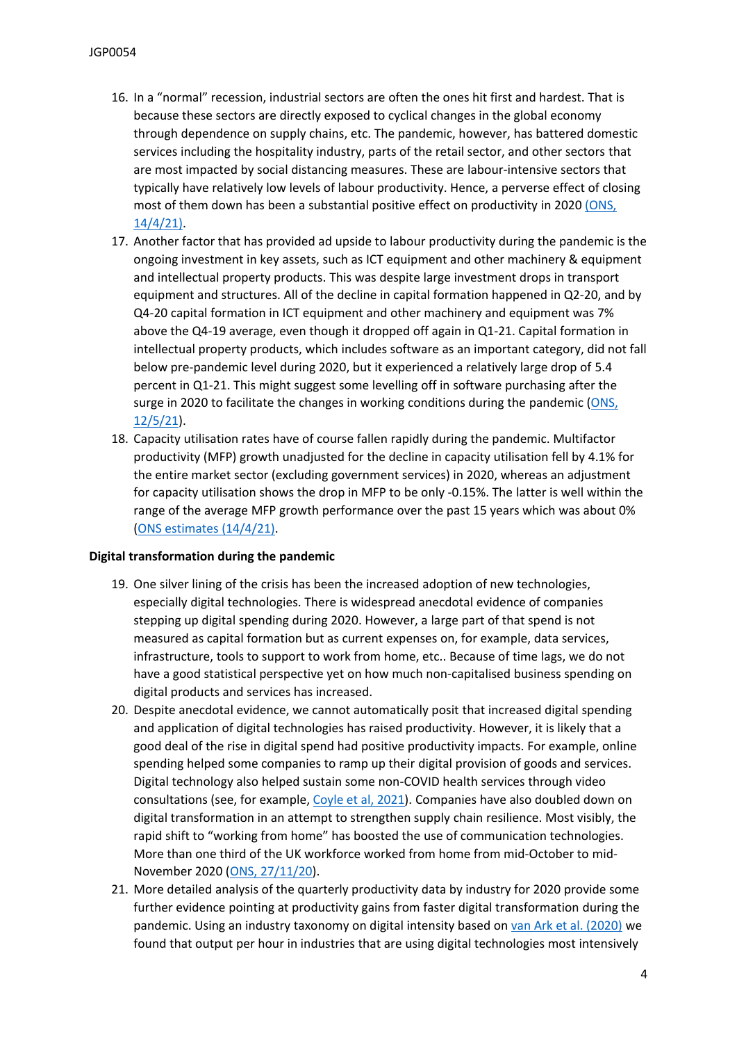- 16. In a "normal" recession, industrial sectors are often the ones hit first and hardest. That is because these sectors are directly exposed to cyclical changes in the global economy through dependence on supply chains, etc. The pandemic, however, has battered domestic services including the hospitality industry, parts of the retail sector, and other sectors that are most impacted by social distancing measures. These are labour-intensive sectors that typically have relatively low levels of labour productivity. Hence, a perverse effect of closing most of them down has been a substantial positive effect on productivity in 2020 [\(ONS,](https://www.ons.gov.uk/employmentandlabourmarket/peopleinwork/labourproductivity/articles/ukproductivityintroduction/octobertodecember2020) [14/4/21\).](https://www.ons.gov.uk/employmentandlabourmarket/peopleinwork/labourproductivity/articles/ukproductivityintroduction/octobertodecember2020)
- 17. Another factor that has provided ad upside to labour productivity during the pandemic is the ongoing investment in key assets, such as ICT equipment and other machinery & equipment and intellectual property products. This was despite large investment drops in transport equipment and structures. All of the decline in capital formation happened in Q2-20, and by Q4-20 capital formation in ICT equipment and other machinery and equipment was 7% above the Q4-19 average, even though it dropped off again in Q1-21. Capital formation in intellectual property products, which includes software as an important category, did not fall below pre-pandemic level during 2020, but it experienced a relatively large drop of 5.4 percent in Q1-21. This might suggest some levelling off in software purchasing after the surge in 2020 to facilitate the changes in working conditions during the pandemic [\(ONS,](https://www.ons.gov.uk/economy/grossdomesticproductgdp/datasets/grossfixedcapitalformationbysectorandasset) [12/5/21](https://www.ons.gov.uk/economy/grossdomesticproductgdp/datasets/grossfixedcapitalformationbysectorandasset)).
- 18. Capacity utilisation rates have of course fallen rapidly during the pandemic. Multifactor productivity (MFP) growth unadjusted for the decline in capacity utilisation fell by 4.1% for the entire market sector (excluding government services) in 2020, whereas an adjustment for capacity utilisation shows the drop in MFP to be only -0.15%. The latter is well within the range of the average MFP growth performance over the past 15 years which was about 0% [\(ONS](https://www.ons.gov.uk/employmentandlabourmarket/peopleinwork/labourproductivity/articles/ukproductivityintroduction/octobertodecember2020) [estimates](https://www.ons.gov.uk/employmentandlabourmarket/peopleinwork/labourproductivity/articles/ukproductivityintroduction/octobertodecember2020) [\(14/4/21\)](https://www.ons.gov.uk/employmentandlabourmarket/peopleinwork/labourproductivity/articles/ukproductivityintroduction/octobertodecember2020).

## **Digital transformation during the pandemic**

- 19. One silver lining of the crisis has been the increased adoption of new technologies, especially digital technologies. There is widespread anecdotal evidence of companies stepping up digital spending during 2020. However, a large part of that spend is not measured as capital formation but as current expenses on, for example, data services, infrastructure, tools to support to work from home, etc.. Because of time lags, we do not have a good statistical perspective yet on how much non-capitalised business spending on digital products and services has increased.
- 20. Despite anecdotal evidence, we cannot automatically posit that increased digital spending and application of digital technologies has raised productivity. However, it is likely that a good deal of the rise in digital spend had positive productivity impacts. For example, online spending helped some companies to ramp up their digital provision of goods and services. Digital technology also helped sustain some non-COVID health services through video consultations (see, for example, [Coyle](http://productivity.productivedigital.com/wp-content/uploads/2021/04/Health-Productivity-Diane-Coyle-FINAL.pdf) [et](http://productivity.productivedigital.com/wp-content/uploads/2021/04/Health-Productivity-Diane-Coyle-FINAL.pdf) [al,](http://productivity.productivedigital.com/wp-content/uploads/2021/04/Health-Productivity-Diane-Coyle-FINAL.pdf) [2021\)](http://productivity.productivedigital.com/wp-content/uploads/2021/04/Health-Productivity-Diane-Coyle-FINAL.pdf). Companies have also doubled down on digital transformation in an attempt to strengthen supply chain resilience. Most visibly, the rapid shift to "working from home" has boosted the use of communication technologies. More than one third of the UK workforce worked from home from mid-October to mid-November 2020 ([ONS,](https://www.ons.gov.uk/employmentandlabourmarket/peopleinwork/employmentandemployeetypes/adhocs/12570workingfromhomeinnuts1regions) [27/11/20](https://www.ons.gov.uk/employmentandlabourmarket/peopleinwork/employmentandemployeetypes/adhocs/12570workingfromhomeinnuts1regions)).
- 21. More detailed analysis of the quarterly productivity data by industry for 2020 provide some further evidence pointing at productivity gains from faster digital transformation during the pandemic. Using an industry taxonomy on digital intensity based on [van](https://www.niesr.ac.uk/publications/how-not-miss-productivity-revival-again) [Ark](https://www.niesr.ac.uk/publications/how-not-miss-productivity-revival-again) [et](https://www.niesr.ac.uk/publications/how-not-miss-productivity-revival-again) [al.](https://www.niesr.ac.uk/publications/how-not-miss-productivity-revival-again) [\(2020\)](https://www.niesr.ac.uk/publications/how-not-miss-productivity-revival-again) we found that output per hour in industries that are using digital technologies most intensively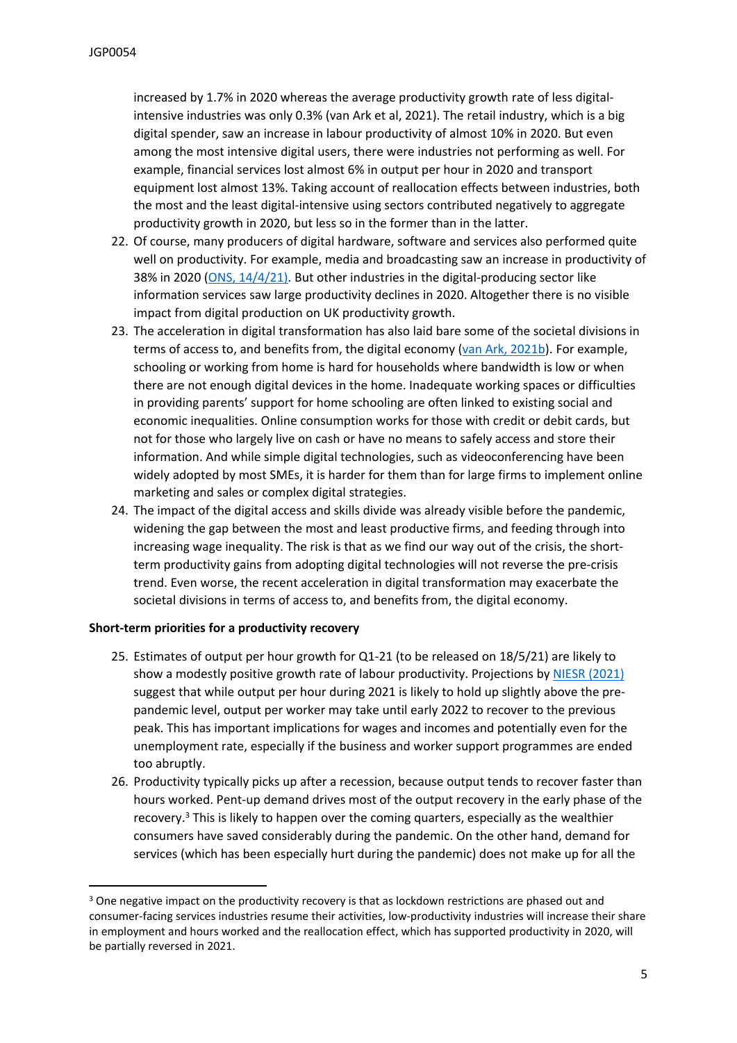increased by 1.7% in 2020 whereas the average productivity growth rate of less digitalintensive industries was only 0.3% (van Ark et al, 2021). The retail industry, which is a big digital spender, saw an increase in labour productivity of almost 10% in 2020. But even among the most intensive digital users, there were industries not performing as well. For example, financial services lost almost 6% in output per hour in 2020 and transport equipment lost almost 13%. Taking account of reallocation effects between industries, both the most and the least digital-intensive using sectors contributed negatively to aggregate productivity growth in 2020, but less so in the former than in the latter.

- 22. Of course, many producers of digital hardware, software and services also performed quite well on productivity. For example, media and broadcasting saw an increase in productivity of 38% in 2020 [\(ONS,](https://www.ons.gov.uk/employmentandlabourmarket/peopleinwork/labourproductivity/articles/ukproductivityintroduction/octobertodecember2020) [14/4/21\).](https://www.ons.gov.uk/employmentandlabourmarket/peopleinwork/labourproductivity/articles/ukproductivityintroduction/octobertodecember2020) But other industries in the digital-producing sector like information services saw large productivity declines in 2020. Altogether there is no visible impact from digital production on UK productivity growth.
- 23. The acceleration in digital transformation has also laid bare some of the societal divisions in terms of access to, and benefits from, the digital economy ([van](https://policyatmanchester.shorthandstories.com/on-digital-inequalities/) [Ark,](https://policyatmanchester.shorthandstories.com/on-digital-inequalities/) [2021b\)](https://policyatmanchester.shorthandstories.com/on-digital-inequalities/). For example, schooling or working from home is hard for households where bandwidth is low or when there are not enough digital devices in the home. Inadequate working spaces or difficulties in providing parents' support for home schooling are often linked to existing social and economic inequalities. Online consumption works for those with credit or debit cards, but not for those who largely live on cash or have no means to safely access and store their information. And while simple digital technologies, such as videoconferencing have been widely adopted by most SMEs, it is harder for them than for large firms to implement online marketing and sales or complex digital strategies.
- 24. The impact of the digital access and skills divide was already visible before the pandemic, widening the gap between the most and least productive firms, and feeding through into increasing wage inequality. The risk is that as we find our way out of the crisis, the shortterm productivity gains from adopting digital technologies will not reverse the pre-crisis trend. Even worse, the recent acceleration in digital transformation may exacerbate the societal divisions in terms of access to, and benefits from, the digital economy.

## **Short-term priorities for a productivity recovery**

- 25. Estimates of output per hour growth for Q1-21 (to be released on 18/5/21) are likely to show a modestly positive growth rate of labour productivity. Projections by [NIESR](https://www.niesr.ac.uk/publications/uk-economic-outlook-spring-2021-brisk-not-better-growth) [\(2021\)](https://www.niesr.ac.uk/publications/uk-economic-outlook-spring-2021-brisk-not-better-growth) suggest that while output per hour during 2021 is likely to hold up slightly above the prepandemic level, output per worker may take until early 2022 to recover to the previous peak. This has important implications for wages and incomes and potentially even for the unemployment rate, especially if the business and worker support programmes are ended too abruptly.
- 26. Productivity typically picks up after a recession, because output tends to recover faster than hours worked. Pent-up demand drives most of the output recovery in the early phase of the recovery.<sup>3</sup> This is likely to happen over the coming quarters, especially as the wealthier consumers have saved considerably during the pandemic. On the other hand, demand for services (which has been especially hurt during the pandemic) does not make up for all the

<sup>&</sup>lt;sup>3</sup> One negative impact on the productivity recovery is that as lockdown restrictions are phased out and consumer-facing services industries resume their activities, low-productivity industries will increase their share in employment and hours worked and the reallocation effect, which has supported productivity in 2020, will be partially reversed in 2021.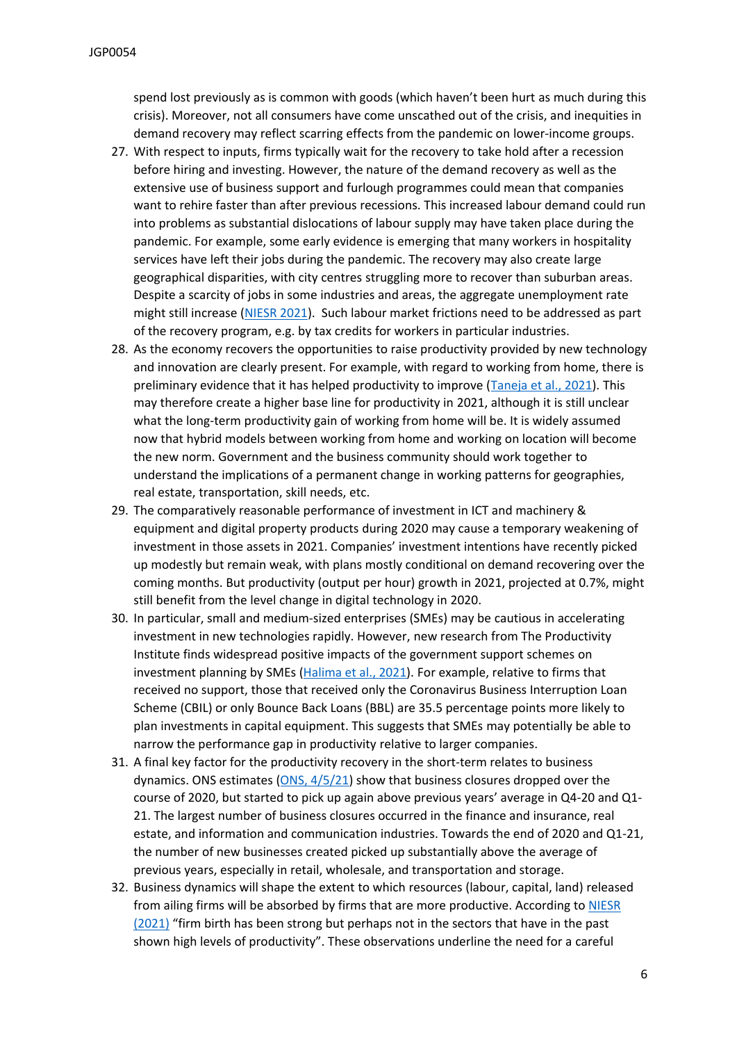spend lost previously as is common with goods (which haven't been hurt as much during this crisis). Moreover, not all consumers have come unscathed out of the crisis, and inequities in demand recovery may reflect scarring effects from the pandemic on lower-income groups.

- 27. With respect to inputs, firms typically wait for the recovery to take hold after a recession before hiring and investing. However, the nature of the demand recovery as well as the extensive use of business support and furlough programmes could mean that companies want to rehire faster than after previous recessions. This increased labour demand could run into problems as substantial dislocations of labour supply may have taken place during the pandemic. For example, some early evidence is emerging that many workers in hospitality services have left their jobs during the pandemic. The recovery may also create large geographical disparities, with city centres struggling more to recover than suburban areas. Despite a scarcity of jobs in some industries and areas, the aggregate unemployment rate might still increase ([NIESR](https://www.niesr.ac.uk/publications/uk-economic-outlook-spring-2021-brisk-not-better-growth) [2021\)](https://www.niesr.ac.uk/publications/uk-economic-outlook-spring-2021-brisk-not-better-growth). Such labour market frictions need to be addressed as part of the recovery program, e.g. by tax credits for workers in particular industries.
- 28. As the economy recovers the opportunities to raise productivity provided by new technology and innovation are clearly present. For example, with regard to working from home, there is preliminary evidence that it has helped productivity to improve ([Taneja](https://voxeu.org/article/working-home-revolutionising-uk-labour-market) [et](https://voxeu.org/article/working-home-revolutionising-uk-labour-market) [al.,](https://voxeu.org/article/working-home-revolutionising-uk-labour-market) [2021\)](https://voxeu.org/article/working-home-revolutionising-uk-labour-market). This may therefore create a higher base line for productivity in 2021, although it is still unclear what the long-term productivity gain of working from home will be. It is widely assumed now that hybrid models between working from home and working on location will become the new norm. Government and the business community should work together to understand the implications of a permanent change in working patterns for geographies, real estate, transportation, skill needs, etc.
- 29. The comparatively reasonable performance of investment in ICT and machinery & equipment and digital property products during 2020 may cause a temporary weakening of investment in those assets in 2021. Companies' investment intentions have recently picked up modestly but remain weak, with plans mostly conditional on demand recovering over the coming months. But productivity (output per hour) growth in 2021, projected at 0.7%, might still benefit from the level change in digital technology in 2020.
- 30. In particular, small and medium-sized enterprises (SMEs) may be cautious in accelerating investment in new technologies rapidly. However, new research from The Productivity Institute finds widespread positive impacts of the government support schemes on investment planning by SMEs [\(Halima](https://www.comp-net.org/fileadmin/_compnet/user_upload/Presentation_Steve.pdf) [et](https://www.comp-net.org/fileadmin/_compnet/user_upload/Presentation_Steve.pdf) [al.,](https://www.comp-net.org/fileadmin/_compnet/user_upload/Presentation_Steve.pdf) [2021\)](https://www.comp-net.org/fileadmin/_compnet/user_upload/Presentation_Steve.pdf). For example, relative to firms that received no support, those that received only the Coronavirus Business Interruption Loan Scheme (CBIL) or only Bounce Back Loans (BBL) are 35.5 percentage points more likely to plan investments in capital equipment. This suggests that SMEs may potentially be able to narrow the performance gap in productivity relative to larger companies.
- 31. A final key factor for the productivity recovery in the short-term relates to business dynamics. ONS estimates ([ONS,](https://www.ons.gov.uk/businessindustryandtrade/business/activitysizeandlocation/bulletins/businessdemographyquarterlyexperimentalstatisticsuk/januarytomarch2021) [4/5/21](https://www.ons.gov.uk/businessindustryandtrade/business/activitysizeandlocation/bulletins/businessdemographyquarterlyexperimentalstatisticsuk/januarytomarch2021)) show that business closures dropped over the course of 2020, but started to pick up again above previous years' average in Q4-20 and Q1- 21. The largest number of business closures occurred in the finance and insurance, real estate, and information and communication industries. Towards the end of 2020 and Q1-21, the number of new businesses created picked up substantially above the average of previous years, especially in retail, wholesale, and transportation and storage.
- 32. Business dynamics will shape the extent to which resources (labour, capital, land) released from ailing firms will be absorbed by firms that are more productive. According to [NIESR](https://www.niesr.ac.uk/publications/uk-economic-outlook-spring-2021-brisk-not-better-growth) [\(2021\)](https://www.niesr.ac.uk/publications/uk-economic-outlook-spring-2021-brisk-not-better-growth) "firm birth has been strong but perhaps not in the sectors that have in the past shown high levels of productivity". These observations underline the need for a careful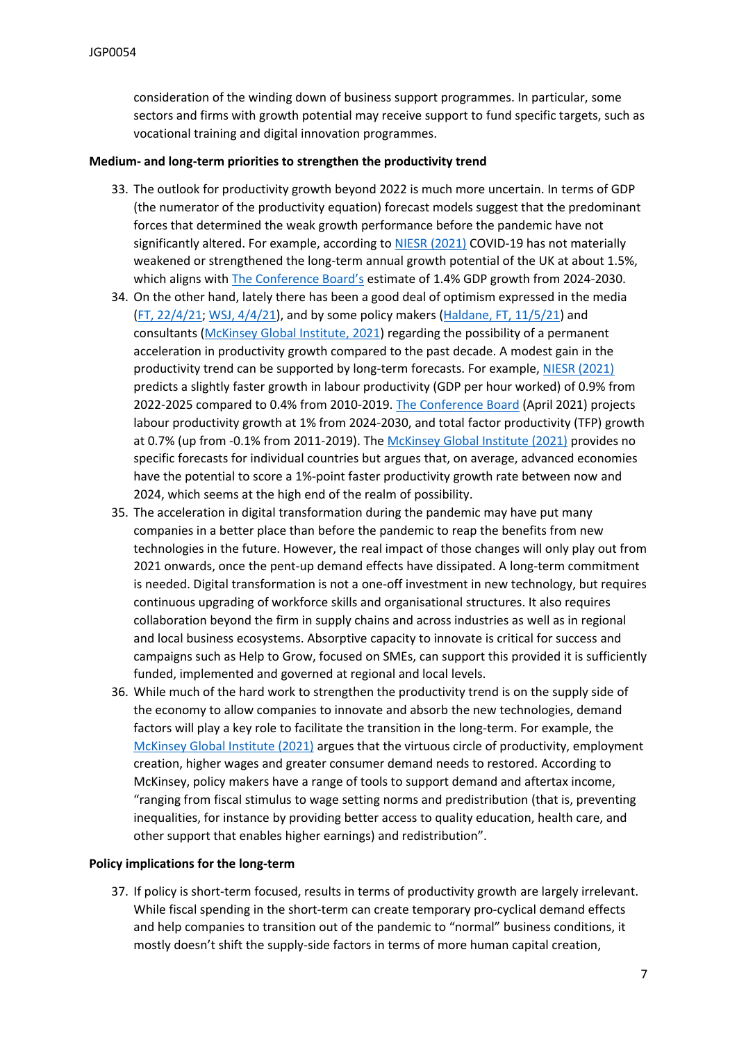consideration of the winding down of business support programmes. In particular, some sectors and firms with growth potential may receive support to fund specific targets, such as vocational training and digital innovation programmes.

### **Medium- and long-term priorities to strengthen the productivity trend**

- 33. The outlook for productivity growth beyond 2022 is much more uncertain. In terms of GDP (the numerator of the productivity equation) forecast models suggest that the predominant forces that determined the weak growth performance before the pandemic have not significantly altered. For example, according to [NIESR](https://www.niesr.ac.uk/publications/uk-economic-outlook-spring-2021-brisk-not-better-growth) [\(2021\)](https://www.niesr.ac.uk/publications/uk-economic-outlook-spring-2021-brisk-not-better-growth) COVID-19 has not materially weakened or strengthened the long-term annual growth potential of the UK at about 1.5%, which aligns with [The](https://www.conference-board.org/data/economydatabase/) [Conference](https://www.conference-board.org/data/economydatabase/) [Board's](https://www.conference-board.org/data/economydatabase/) estimate of 1.4% GDP growth from 2024-2030.
- 34. On the other hand, lately there has been a good deal of optimism expressed in the media [\(FT,](https://www.ft.com/content/bed3532f-e4be-429a-9b9d-aaa7c9168be7) [22/4/21](https://www.ft.com/content/bed3532f-e4be-429a-9b9d-aaa7c9168be7); [WSJ,](https://www.wsj.com/articles/u-s-s-long-drought-in-worker-productivity-could-be-ending-11617530401) [4/4/21](https://www.wsj.com/articles/u-s-s-long-drought-in-worker-productivity-could-be-ending-11617530401)), and by some policy makers [\(Haldane,](https://www.ft.com/content/1e328f03-29bb-4ffe-a60a-f7e09596462b) [FT,](https://www.ft.com/content/1e328f03-29bb-4ffe-a60a-f7e09596462b) [11/5/21\)](https://www.ft.com/content/1e328f03-29bb-4ffe-a60a-f7e09596462b) and consultants [\(McKinsey](https://www.mckinsey.com/industries/public-and-social-sector/our-insights/will-productivity-and-growth-return-after-the-covid-19-crisis) [Global](https://www.mckinsey.com/industries/public-and-social-sector/our-insights/will-productivity-and-growth-return-after-the-covid-19-crisis) [Institute,](https://www.mckinsey.com/industries/public-and-social-sector/our-insights/will-productivity-and-growth-return-after-the-covid-19-crisis) [2021](https://www.mckinsey.com/industries/public-and-social-sector/our-insights/will-productivity-and-growth-return-after-the-covid-19-crisis)) regarding the possibility of a permanent acceleration in productivity growth compared to the past decade. A modest gain in the productivity trend can be supported by long-term forecasts. For example, [NIESR](https://www.niesr.ac.uk/publications/uk-economic-outlook-spring-2021-brisk-not-better-growth) [\(2021\)](https://www.niesr.ac.uk/publications/uk-economic-outlook-spring-2021-brisk-not-better-growth) predicts a slightly faster growth in labour productivity (GDP per hour worked) of 0.9% from 2022-2025 compared to 0.4% from 2010-2019. [The](https://www.conference-board.org/data/economydatabase/) [Conference](https://www.conference-board.org/data/economydatabase/) [Board](https://www.conference-board.org/data/economydatabase/) (April 2021) projects labour productivity growth at 1% from 2024-2030, and total factor productivity (TFP) growth at 0.7% (up from -0.1% from 2011-2019). The [McKinsey](https://www.mckinsey.com/industries/public-and-social-sector/our-insights/will-productivity-and-growth-return-after-the-covid-19-crisis) [Global](https://www.mckinsey.com/industries/public-and-social-sector/our-insights/will-productivity-and-growth-return-after-the-covid-19-crisis) [Institute](https://www.mckinsey.com/industries/public-and-social-sector/our-insights/will-productivity-and-growth-return-after-the-covid-19-crisis) [\(2021\)](https://www.mckinsey.com/industries/public-and-social-sector/our-insights/will-productivity-and-growth-return-after-the-covid-19-crisis) provides no specific forecasts for individual countries but argues that, on average, advanced economies have the potential to score a 1%-point faster productivity growth rate between now and 2024, which seems at the high end of the realm of possibility.
- 35. The acceleration in digital transformation during the pandemic may have put many companies in a better place than before the pandemic to reap the benefits from new technologies in the future. However, the real impact of those changes will only play out from 2021 onwards, once the pent-up demand effects have dissipated. A long-term commitment is needed. Digital transformation is not a one-off investment in new technology, but requires continuous upgrading of workforce skills and organisational structures. It also requires collaboration beyond the firm in supply chains and across industries as well as in regional and local business ecosystems. Absorptive capacity to innovate is critical for success and campaigns such as Help to Grow, focused on SMEs, can support this provided it is sufficiently funded, implemented and governed at regional and local levels.
- 36. While much of the hard work to strengthen the productivity trend is on the supply side of the economy to allow companies to innovate and absorb the new technologies, demand factors will play a key role to facilitate the transition in the long-term. For example, the [McKinsey](https://www.mckinsey.com/industries/public-and-social-sector/our-insights/will-productivity-and-growth-return-after-the-covid-19-crisis) [Global](https://www.mckinsey.com/industries/public-and-social-sector/our-insights/will-productivity-and-growth-return-after-the-covid-19-crisis) [Institute](https://www.mckinsey.com/industries/public-and-social-sector/our-insights/will-productivity-and-growth-return-after-the-covid-19-crisis) [\(2021\)](https://www.mckinsey.com/industries/public-and-social-sector/our-insights/will-productivity-and-growth-return-after-the-covid-19-crisis) argues that the virtuous circle of productivity, employment creation, higher wages and greater consumer demand needs to restored. According to McKinsey, policy makers have a range of tools to support demand and aftertax income, "ranging from fiscal stimulus to wage setting norms and predistribution (that is, preventing inequalities, for instance by providing better access to quality education, health care, and other support that enables higher earnings) and redistribution".

#### **Policy implications for the long-term**

37. If policy is short-term focused, results in terms of productivity growth are largely irrelevant. While fiscal spending in the short-term can create temporary pro-cyclical demand effects and help companies to transition out of the pandemic to "normal" business conditions, it mostly doesn't shift the supply-side factors in terms of more human capital creation,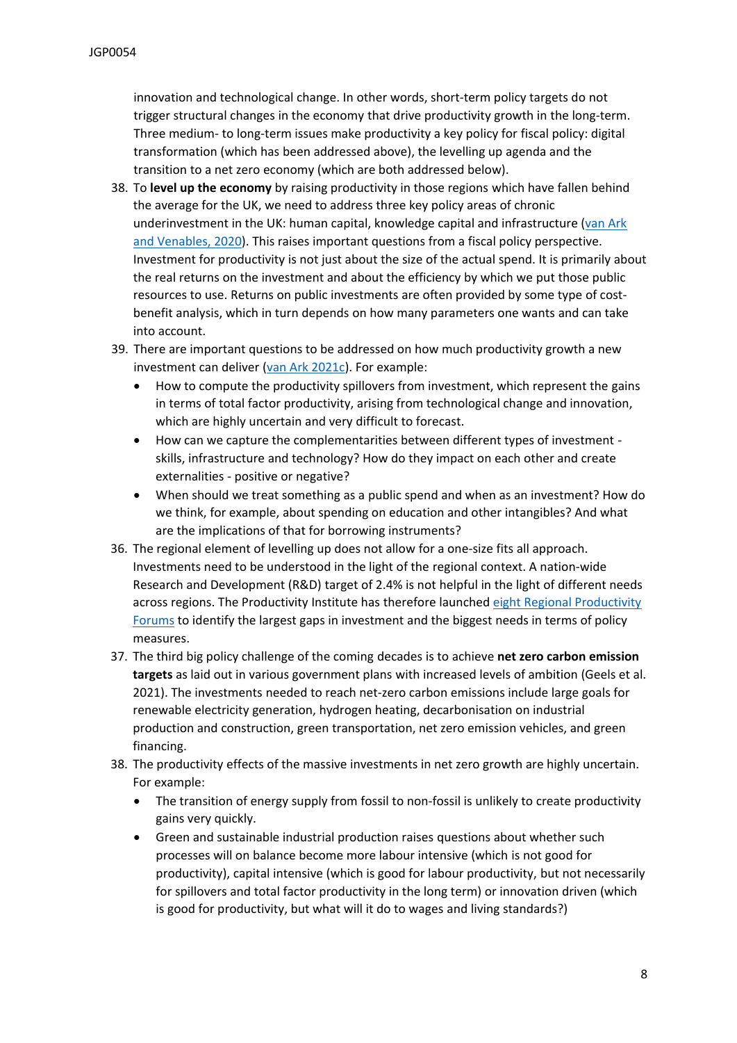innovation and technological change. In other words, short-term policy targets do not trigger structural changes in the economy that drive productivity growth in the long-term. Three medium- to long-term issues make productivity a key policy for fiscal policy: digital transformation (which has been addressed above), the levelling up agenda and the transition to a net zero economy (which are both addressed below).

- 38. To **level up the economy** by raising productivity in those regions which have fallen behind the average for the UK, we need to address three key policy areas of chronic underinvestment in the UK: human capital, knowledge capital and infrastructure ([van](http://www.csls.ca/ipm/39/van_Ark-Venables.pdf) [Ark](http://www.csls.ca/ipm/39/van_Ark-Venables.pdf) [and](http://www.csls.ca/ipm/39/van_Ark-Venables.pdf) [Venables,](http://www.csls.ca/ipm/39/van_Ark-Venables.pdf) [2020](http://www.csls.ca/ipm/39/van_Ark-Venables.pdf)). This raises important questions from a fiscal policy perspective. Investment for productivity is not just about the size of the actual spend. It is primarily about the real returns on the investment and about the efficiency by which we put those public resources to use. Returns on public investments are often provided by some type of costbenefit analysis, which in turn depends on how many parameters one wants and can take into account.
- 39. There are important questions to be addressed on how much productivity growth a new investment can deliver ([van](https://www.niesr.ac.uk/blog/productivity-and-new-fiscal-framework-uk) [Ark](https://www.niesr.ac.uk/blog/productivity-and-new-fiscal-framework-uk) [2021c\)](https://www.niesr.ac.uk/blog/productivity-and-new-fiscal-framework-uk). For example:
	- How to compute the productivity spillovers from investment, which represent the gains in terms of total factor productivity, arising from technological change and innovation, which are highly uncertain and very difficult to forecast.
	- How can we capture the complementarities between different types of investment skills, infrastructure and technology? How do they impact on each other and create externalities - positive or negative?
	- When should we treat something as a public spend and when as an investment? How do we think, for example, about spending on education and other intangibles? And what are the implications of that for borrowing instruments?
- 36. The regional element of levelling up does not allow for a one-size fits all approach. Investments need to be understood in the light of the regional context. A nation-wide Research and Development (R&D) target of 2.4% is not helpful in the light of different needs across regions. The Productivity Institute has therefore launched [eight](https://www.productivity.ac.uk/business) [Regional](https://www.productivity.ac.uk/business) [Productivity](https://www.productivity.ac.uk/business) [Forums](https://www.productivity.ac.uk/business) to identify the largest gaps in investment and the biggest needs in terms of policy measures.
- 37. The third big policy challenge of the coming decades is to achieve **net zero carbon emission targets** as laid out in various government plans with increased levels of ambition (Geels et al. 2021). The investments needed to reach net-zero carbon emissions include large goals for renewable electricity generation, hydrogen heating, decarbonisation on industrial production and construction, green transportation, net zero emission vehicles, and green financing.
- 38. The productivity effects of the massive investments in net zero growth are highly uncertain. For example:
	- The transition of energy supply from fossil to non-fossil is unlikely to create productivity gains very quickly.
	- Green and sustainable industrial production raises questions about whether such processes will on balance become more labour intensive (which is not good for productivity), capital intensive (which is good for labour productivity, but not necessarily for spillovers and total factor productivity in the long term) or innovation driven (which is good for productivity, but what will it do to wages and living standards?)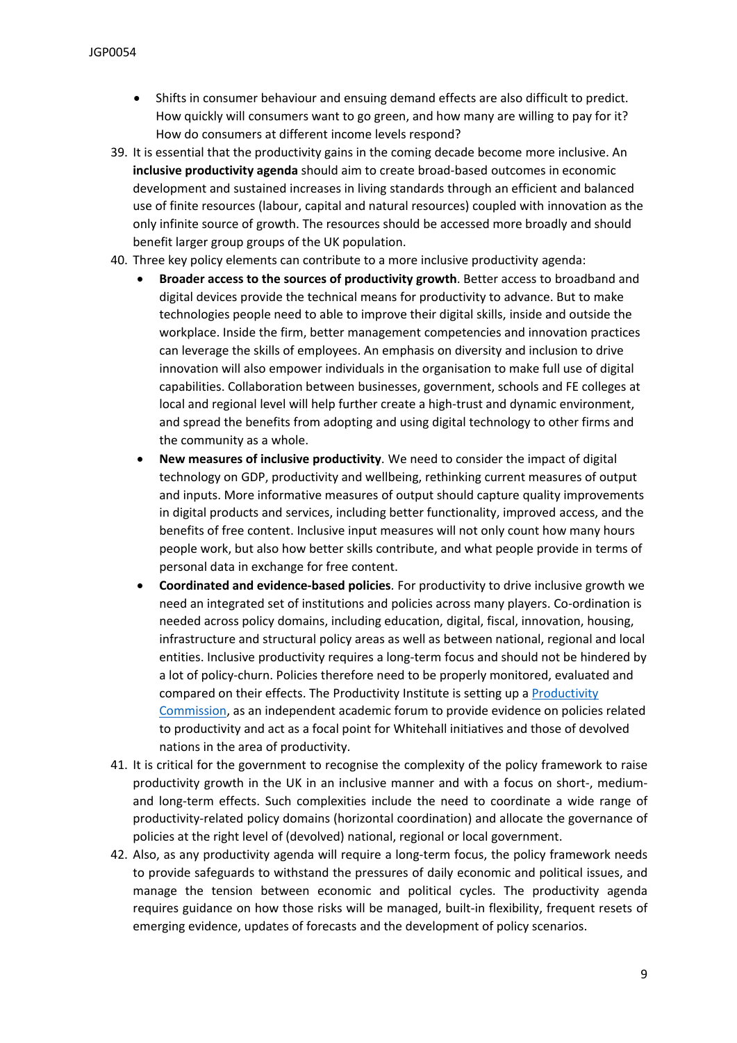- Shifts in consumer behaviour and ensuing demand effects are also difficult to predict. How quickly will consumers want to go green, and how many are willing to pay for it? How do consumers at different income levels respond?
- 39. It is essential that the productivity gains in the coming decade become more inclusive. An **inclusive productivity agenda** should aim to create broad-based outcomes in economic development and sustained increases in living standards through an efficient and balanced use of finite resources (labour, capital and natural resources) coupled with innovation as the only infinite source of growth. The resources should be accessed more broadly and should benefit larger group groups of the UK population.
- 40. Three key policy elements can contribute to a more inclusive productivity agenda:
	- **Broader access to the sources of productivity growth**. Better access to broadband and digital devices provide the technical means for productivity to advance. But to make technologies people need to able to improve their digital skills, inside and outside the workplace. Inside the firm, better management competencies and innovation practices can leverage the skills of employees. An emphasis on diversity and inclusion to drive innovation will also empower individuals in the organisation to make full use of digital capabilities. Collaboration between businesses, government, schools and FE colleges at local and regional level will help further create a high-trust and dynamic environment, and spread the benefits from adopting and using digital technology to other firms and the community as a whole.
	- **New measures of inclusive productivity**. We need to consider the impact of digital technology on GDP, productivity and wellbeing, rethinking current measures of output and inputs. More informative measures of output should capture quality improvements in digital products and services, including better functionality, improved access, and the benefits of free content. Inclusive input measures will not only count how many hours people work, but also how better skills contribute, and what people provide in terms of personal data in exchange for free content.
	- **Coordinated and evidence-based policies**. For productivity to drive inclusive growth we need an integrated set of institutions and policies across many players. Co-ordination is needed across policy domains, including education, digital, fiscal, innovation, housing, infrastructure and structural policy areas as well as between national, regional and local entities. Inclusive productivity requires a long-term focus and should not be hindered by a lot of policy-churn. Policies therefore need to be properly monitored, evaluated and compared on their effects. The Productivity Institute is setting up a [Productivity](https://www.productivity.ac.uk/policy/) [Commission](https://www.productivity.ac.uk/policy/), as an independent academic forum to provide evidence on policies related to productivity and act as a focal point for Whitehall initiatives and those of devolved nations in the area of productivity.
- 41. It is critical for the government to recognise the complexity of the policy framework to raise productivity growth in the UK in an inclusive manner and with a focus on short-, mediumand long-term effects. Such complexities include the need to coordinate a wide range of productivity-related policy domains (horizontal coordination) and allocate the governance of policies at the right level of (devolved) national, regional or local government.
- 42. Also, as any productivity agenda will require a long-term focus, the policy framework needs to provide safeguards to withstand the pressures of daily economic and political issues, and manage the tension between economic and political cycles. The productivity agenda requires guidance on how those risks will be managed, built-in flexibility, frequent resets of emerging evidence, updates of forecasts and the development of policy scenarios.